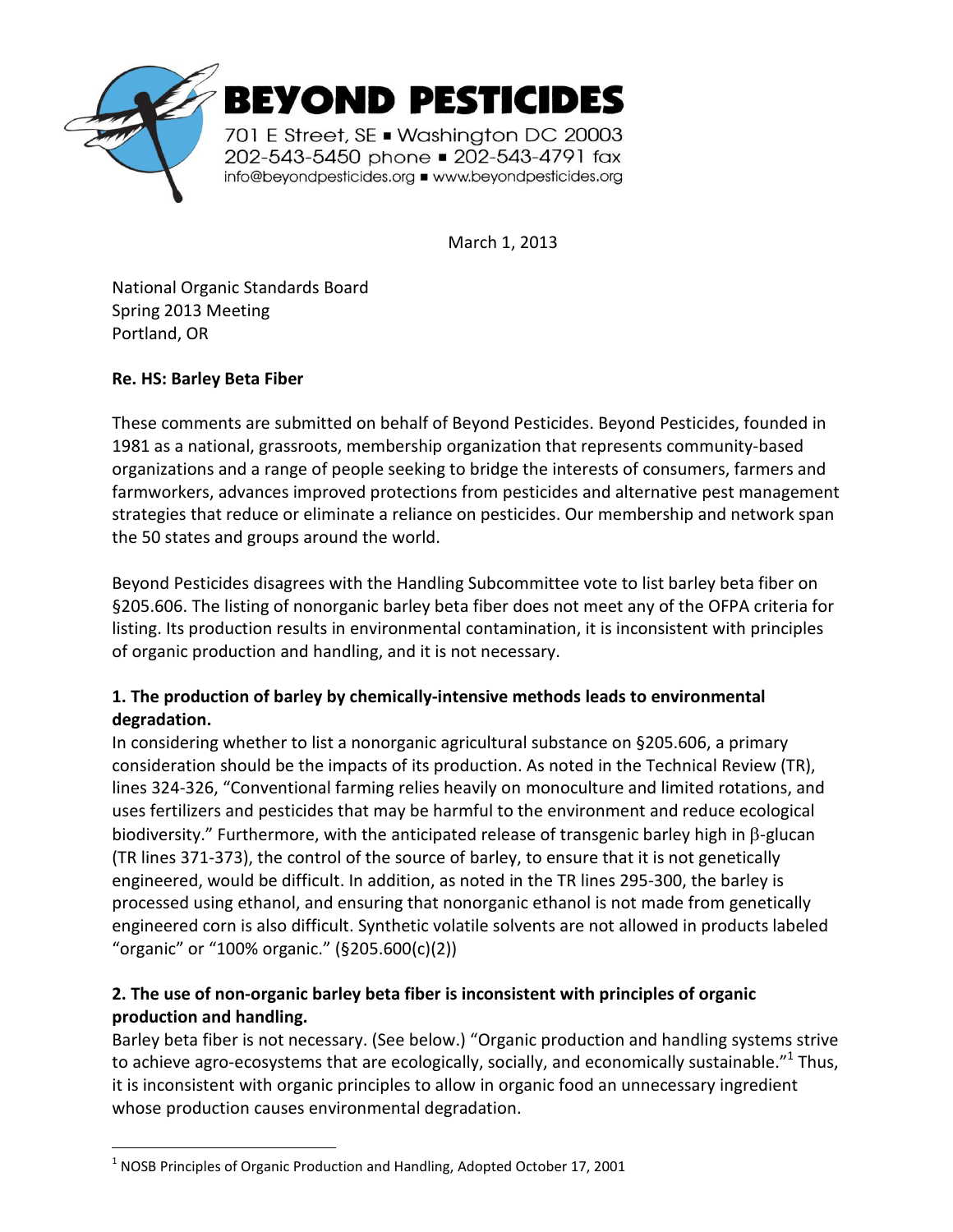

March 1, 2013

National Organic Standards Board Spring 2013 Meeting Portland, OR

## **Re. HS: Barley Beta Fiber**

 $\overline{a}$ 

These comments are submitted on behalf of Beyond Pesticides. Beyond Pesticides, founded in 1981 as a national, grassroots, membership organization that represents community-based organizations and a range of people seeking to bridge the interests of consumers, farmers and farmworkers, advances improved protections from pesticides and alternative pest management strategies that reduce or eliminate a reliance on pesticides. Our membership and network span the 50 states and groups around the world.

Beyond Pesticides disagrees with the Handling Subcommittee vote to list barley beta fiber on §205.606. The listing of nonorganic barley beta fiber does not meet any of the OFPA criteria for listing. Its production results in environmental contamination, it is inconsistent with principles of organic production and handling, and it is not necessary.

## **1. The production of barley by chemically-intensive methods leads to environmental degradation.**

In considering whether to list a nonorganic agricultural substance on §205.606, a primary consideration should be the impacts of its production. As noted in the Technical Review (TR), lines 324-326, "Conventional farming relies heavily on monoculture and limited rotations, and uses fertilizers and pesticides that may be harmful to the environment and reduce ecological biodiversity." Furthermore, with the anticipated release of transgenic barley high in β-glucan (TR lines 371-373), the control of the source of barley, to ensure that it is not genetically engineered, would be difficult. In addition, as noted in the TR lines 295-300, the barley is processed using ethanol, and ensuring that nonorganic ethanol is not made from genetically engineered corn is also difficult. Synthetic volatile solvents are not allowed in products labeled "organic" or "100% organic." (§205.600(c)(2))

## **2. The use of non-organic barley beta fiber is inconsistent with principles of organic production and handling.**

Barley beta fiber is not necessary. (See below.) "Organic production and handling systems strive to achieve agro-ecosystems that are ecologically, socially, and economically sustainable." $^{1}$  Thus, it is inconsistent with organic principles to allow in organic food an unnecessary ingredient whose production causes environmental degradation.

 $1$  NOSB Principles of Organic Production and Handling, Adopted October 17, 2001